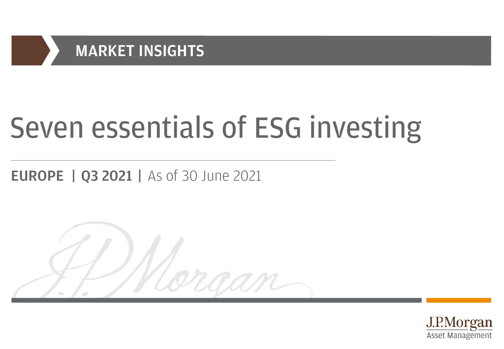

# Seven essentials of ESG investing

raan

# **EUROPE | Q3 2021 | As of 30 June 2021**

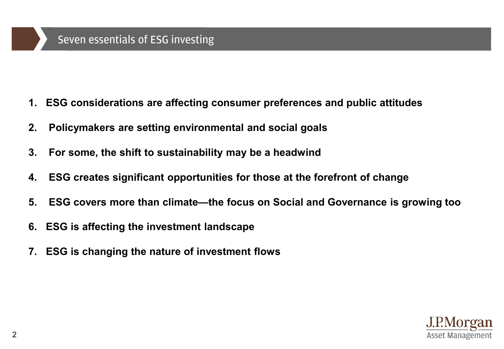#### Seven essentials of ESG investing

- **1. ESG considerations are affecting consumer preferences and public attitudes**
- **2. Policymakers are setting environmental and social goals**
- **3. For some, the shift to sustainability may be a headwind**
- **4. ESG creates significant opportunities for those at the forefront of change**
- **5. ESG covers more than climate—the focus on Social and Governance is growing too**
- **6. ESG is affecting the investment landscape**
- **7. ESG is changing the nature of investment flows**

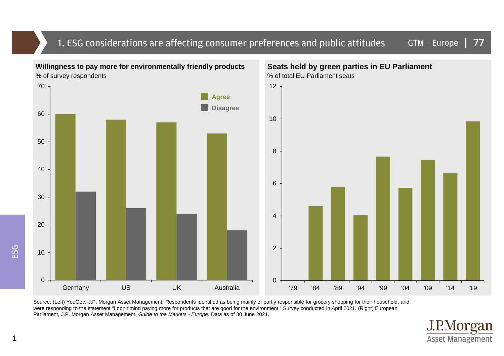#### GTM – Europe | 1. ESG considerations are affecting consumer preferences and public attitudes 77



Source: (Left) YouGov, J.P. Morgan Asset Management. Respondents identified as being mainly or partly responsible for grocery shopping for their household, and were responding to the statement "I don't mind paying more for products that are good for the environment." Survey conducted in April 2021. (Right) European Parliament, J.P. Morgan Asset Management. Guide to the Markets - Europe. Data as of 30 June 2021.

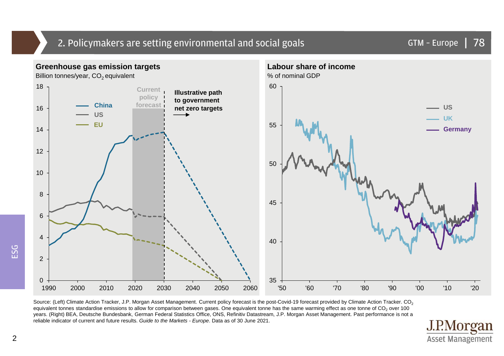## 2. Policymakers are setting environmental and social goals



Source: (Left) Climate Action Tracker, J.P. Morgan Asset Management. Current policy forecast is the post-Covid-19 forecast provided by Climate Action Tracker. CO<sub>2</sub> equivalent tonnes standardise emissions to allow for comparison between gases. One equivalent tonne has the same warming effect as one tonne of CO<sub>2</sub> over 100 years. (Right) BEA, Deutsche Bundesbank, German Federal Statistics Office, ONS, Refinitiv Datastream, J.P. Morgan Asset Management. Past performance is not a reliable indicator of current and future results. Guide to the Markets - Europe. Data as of 30 June 2021.



ESG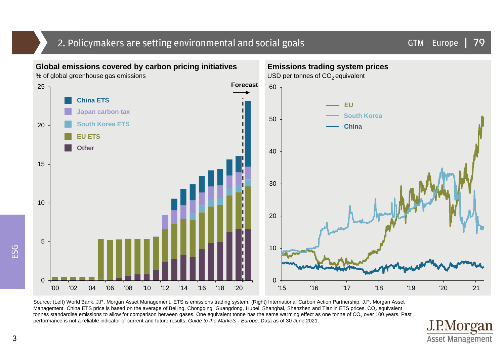#### 2. Policymakers are setting environmental and social goals



Source: (Left) World Bank, J.P. Morgan Asset Management. ETS is emissions trading system. (Right) International Carbon Action Partnership, J.P. Morgan Asset Management. China ETS price is based on the average of Beijing, Chongqing, Guangdong, Hubei, Shanghai, Shenzhen and Tianjin ETS prices. CO<sub>2</sub> equivalent tonnes standardise emissions to allow for comparison between gases. One equivalent tonne has the same warming effect as one tonne of  $CO_2$  over 100 years. Past performance is not a reliable indicator of current and future results. Guide to the Markets - Europe. Data as of 30 June 2021.

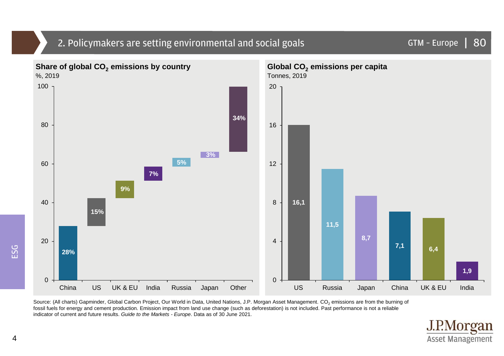

## 2. Policymakers are setting environmental and social goals

Source: (All charts) Gapminder, Global Carbon Project, Our World in Data, United Nations, J.P. Morgan Asset Management. CO<sub>2</sub> emissions are from the burning of fossil fuels for energy and cement production. Emission impact from land use change (such as deforestation) is not included. Past performance is not a reliable indicator of current and future results. Guide to the Markets - Europe. Data as of 30 June 2021.



GTM – Europe |

80

ESG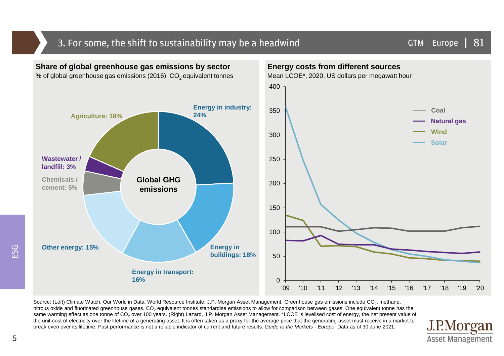#### 3. For some, the shift to sustainability may be a headwind



Source: (Left) Climate Watch, Our World in Data, World Resource Institute, J.P. Morgan Asset Management. Greenhouse gas emissions include CO<sub>2</sub>, methane, nitrous oxide and fluorinated greenhouse gases. CO<sub>2</sub> equivalent tonnes standardise emissions to allow for comparison between gases. One equivalent tonne has the same warming effect as one tonne of CO<sub>2</sub> over 100 years. (Right) Lazard, J.P. Morgan Asset Management. \*LCOE is levelised cost of energy, the net present value of the unit-cost of electricity over the lifetime of a generating asset. It is often taken as a proxy for the average price that the generating asset must receive in a market to break even over its lifetime. Past performance is not a reliable indicator of current and future results. Guide to the Markets - Europe. Data as of 30 June 2021.

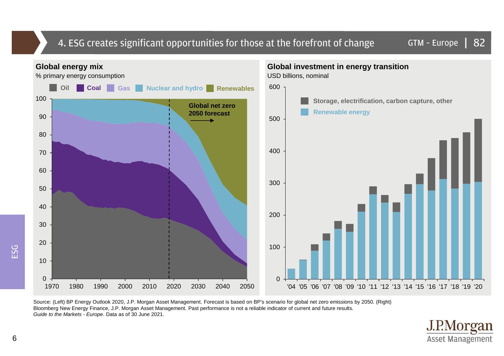#### 4. ESG creates significant opportunities for those at the forefront of change



Source: (Left) BP Energy Outlook 2020, J.P. Morgan Asset Management. Forecast is based on BP's scenario for global net zero emissions by 2050. (Right) Bloomberg New Energy Finance, J.P. Morgan Asset Management. Past performance is not a reliable indicator of current and future results. Guide to the Markets - Europe. Data as of 30 June 2021.

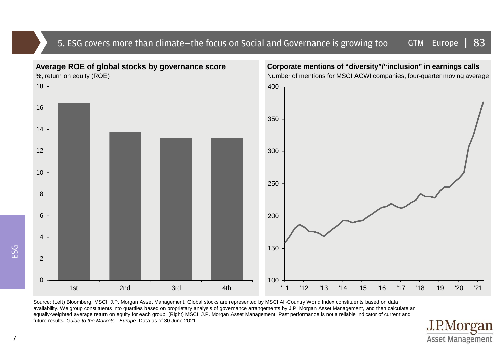#### 5. ESG covers more than climate—the focus on Social and Governance is growing too GTM – Europe | 83



Source: (Left) Bloomberg, MSCI, J.P. Morgan Asset Management. Global stocks are represented by MSCI All-Country World Index constituents based on data availability. We group constituents into quartiles based on proprietary analysis of governance arrangements by J.P. Morgan Asset Management, and then calculate an equally-weighted average return on equity for each group. (Right) MSCI, J.P. Morgan Asset Management. Past performance is not a reliable indicator of current and future results. Guide to the Markets - Europe. Data as of 30 June 2021.



ESG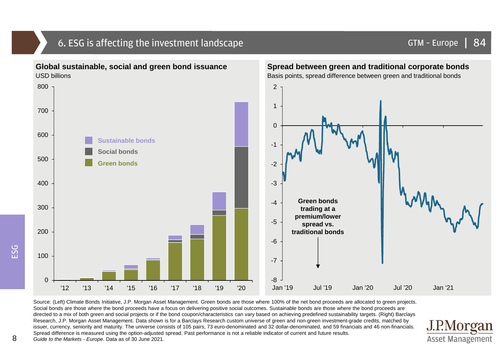#### 6. ESG is affecting the investment landscape **GTM – Europe International COM** – Europe extending the investment landscape



Source: (Left) Climate Bonds Initiative, J.P. Morgan Asset Management. Green bonds are those where 100% of the net bond proceeds are allocated to green projects. Social bonds are those where the bond proceeds have a focus on delivering positive social outcomes. Sustainable bonds are those where the bond proceeds are directed to a mix of both green and social projects or if the bond coupon/characteristics can vary based on achieving predefined sustainability targets. (Right) Barclays Research, J.P. Morgan Asset Management. Data shown is for a Barclays Research custom universe of green and non-green investment-grade credits, matched by issuer, currency, seniority and maturity. The universe consists of 105 pairs, 73 euro-denominated and 32 dollar-denominated, and 59 financials and 46 non-financials. Spread difference is measured using the option-adjusted spread. Past performance is not a reliable indicator of current and future results. Guide to the Markets - Europe. Data as of 30 June 2021.



ESG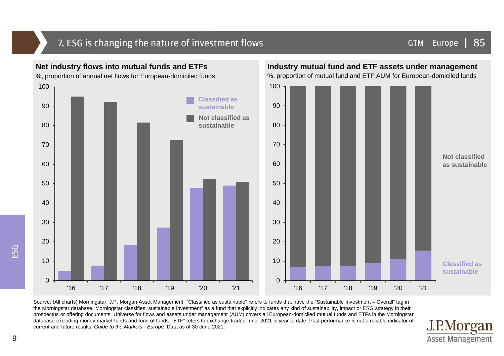## 7. ESG is changing the nature of investment flows

#### GTM – Europe | 85



Source: (All charts) Morningstar, J.P. Morgan Asset Management. "Classified as sustainable" refers to funds that have the "Sustainable Investment – Overall" tag in the Morningstar database. Morningstar classifies "sustainable investment" as a fund that explicitly indicates any kind of sustainability, impact or ESG strategy in their prospectus or offering documents. Universe for flows and assets under management (AUM) covers all European-domiciled mutual funds and ETFs in the Morningstar database excluding money market funds and fund of funds. "ETF" refers to exchange-traded fund. 2021 is year to date. Past performance is not a reliable indicator of current and future results. Guide to the Markets - Europe. Data as of 30 June 2021.

#### J.P.Morgan **Asset Management**